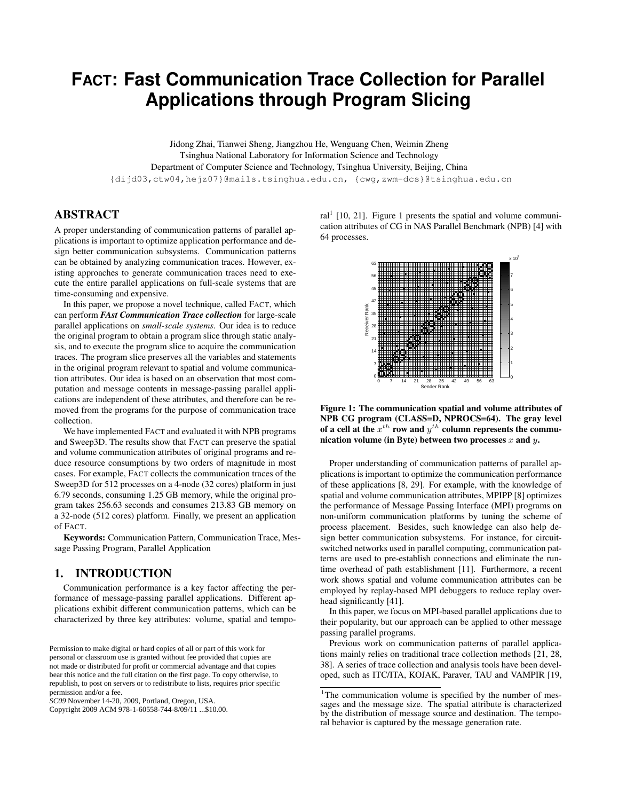# **FACT: Fast Communication Trace Collection for Parallel Applications through Program Slicing**

Jidong Zhai, Tianwei Sheng, Jiangzhou He, Wenguang Chen, Weimin Zheng Tsinghua National Laboratory for Information Science and Technology Department of Computer Science and Technology, Tsinghua University, Beijing, China {dijd03,ctw04,hejz07}@mails.tsinghua.edu.cn, {cwg,zwm-dcs}@tsinghua.edu.cn

# ABSTRACT

A proper understanding of communication patterns of parallel applications is important to optimize application performance and design better communication subsystems. Communication patterns can be obtained by analyzing communication traces. However, existing approaches to generate communication traces need to execute the entire parallel applications on full-scale systems that are time-consuming and expensive.

In this paper, we propose a novel technique, called FACT, which can perform *FAst Communication Trace collection* for large-scale parallel applications on *small-scale systems*. Our idea is to reduce the original program to obtain a program slice through static analysis, and to execute the program slice to acquire the communication traces. The program slice preserves all the variables and statements in the original program relevant to spatial and volume communication attributes. Our idea is based on an observation that most computation and message contents in message-passing parallel applications are independent of these attributes, and therefore can be removed from the programs for the purpose of communication trace collection.

We have implemented FACT and evaluated it with NPB programs and Sweep3D. The results show that FACT can preserve the spatial and volume communication attributes of original programs and reduce resource consumptions by two orders of magnitude in most cases. For example, FACT collects the communication traces of the Sweep3D for 512 processes on a 4-node (32 cores) platform in just 6.79 seconds, consuming 1.25 GB memory, while the original program takes 256.63 seconds and consumes 213.83 GB memory on a 32-node (512 cores) platform. Finally, we present an application of FACT.

Keywords: Communication Pattern, Communication Trace, Message Passing Program, Parallel Application

#### 1. INTRODUCTION

Communication performance is a key factor affecting the performance of message-passing parallel applications. Different applications exhibit different communication patterns, which can be characterized by three key attributes: volume, spatial and tempo-

*SC09* November 14-20, 2009, Portland, Oregon, USA.

permission and/or a fee. Copyright 2009 ACM 978-1-60558-744-8/09/11 ...\$10.00.*SC'09,* November 14-20, 2009, Portland, Oregon, USA

ral<sup>1</sup> [10, 21]. Figure 1 presents the spatial and volume communication attributes of CG in NAS Parallel Benchmark (NPB) [4] with 64 processes.



Figure 1: The communication spatial and volume attributes of NPB CG program (CLASS=D, NPROCS=64). The gray level of a cell at the  $x^{th}$  row and  $y^{th}$  column represents the communication volume (in Byte) between two processes *x* and *y*.

Proper understanding of communication patterns of parallel applications is important to optimize the communication performance of these applications [8, 29]. For example, with the knowledge of spatial and volume communication attributes, MPIPP [8] optimizes the performance of Message Passing Interface (MPI) programs on non-uniform communication platforms by tuning the scheme of process placement. Besides, such knowledge can also help design better communication subsystems. For instance, for circuitswitched networks used in parallel computing, communication patterns are used to pre-establish connections and eliminate the runtime overhead of path establishment [11]. Furthermore, a recent work shows spatial and volume communication attributes can be employed by replay-based MPI debuggers to reduce replay overhead significantly [41].

In this paper, we focus on MPI-based parallel applications due to their popularity, but our approach can be applied to other message passing parallel programs.

Previous work on communication patterns of parallel applications mainly relies on traditional trace collection methods [21, 28, 38]. A series of trace collection and analysis tools have been developed, such as ITC/ITA, KOJAK, Paraver, TAU and VAMPIR [19,

personal or classroom use is granted without fee provided that copies are<br>not made or distributed for profit or commercial advantage and that copies personal or classroom use is granted to provide the commercial advantage and that copies bear this notice and the full citation on the first page. To copy otherwise, to an uns notice and the fair enation on the first page. To copy otherwise, to<br>muhlich to poet on corvors or to redistribute to lists, requires prior specific republish, to post on servers or to redistribute to lists, requires prior specific<br>permission and/or a fee Permission to make digital or hard copies of all or part of this work for personal or classroom use is granted without fee provided that copies are permission and/or a fee.

<sup>&</sup>lt;sup>1</sup>The communication volume is specified by the number of messages and the message size. The spatial attribute is characterized by the distribution of message source and destination. The temporal behavior is captured by the message generation rate.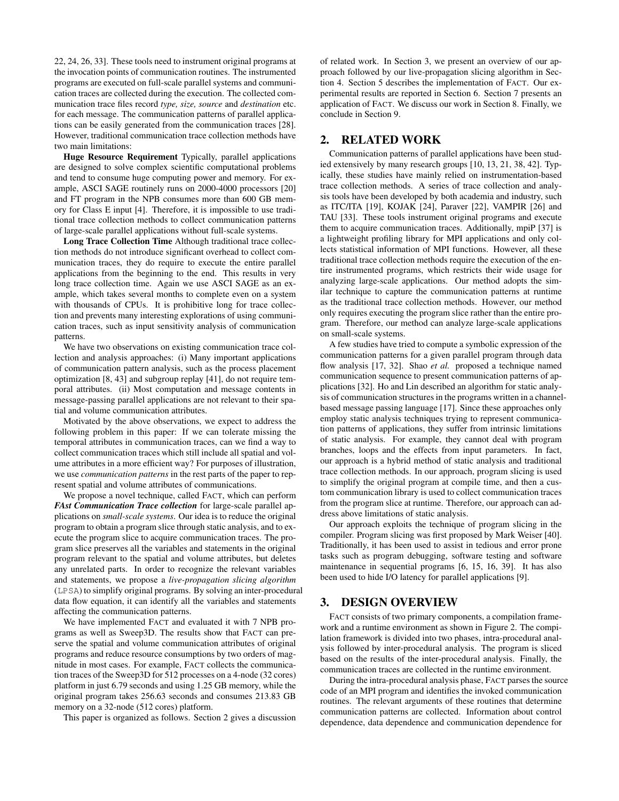22, 24, 26, 33]. These tools need to instrument original programs at the invocation points of communication routines. The instrumented programs are executed on full-scale parallel systems and communication traces are collected during the execution. The collected communication trace files record *type, size, source* and *destination* etc. for each message. The communication patterns of parallel applications can be easily generated from the communication traces [28]. However, traditional communication trace collection methods have two main limitations:

Huge Resource Requirement Typically, parallel applications are designed to solve complex scientific computational problems and tend to consume huge computing power and memory. For example, ASCI SAGE routinely runs on 2000-4000 processors [20] and FT program in the NPB consumes more than 600 GB memory for Class E input [4]. Therefore, it is impossible to use traditional trace collection methods to collect communication patterns of large-scale parallel applications without full-scale systems.

Long Trace Collection Time Although traditional trace collection methods do not introduce significant overhead to collect communication traces, they do require to execute the entire parallel applications from the beginning to the end. This results in very long trace collection time. Again we use ASCI SAGE as an example, which takes several months to complete even on a system with thousands of CPUs. It is prohibitive long for trace collection and prevents many interesting explorations of using communication traces, such as input sensitivity analysis of communication patterns.

We have two observations on existing communication trace collection and analysis approaches: (i) Many important applications of communication pattern analysis, such as the process placement optimization [8, 43] and subgroup replay [41], do not require temporal attributes. (ii) Most computation and message contents in message-passing parallel applications are not relevant to their spatial and volume communication attributes.

Motivated by the above observations, we expect to address the following problem in this paper: If we can tolerate missing the temporal attributes in communication traces, can we find a way to collect communication traces which still include all spatial and volume attributes in a more efficient way? For purposes of illustration, we use *communication patterns* in the rest parts of the paper to represent spatial and volume attributes of communications.

We propose a novel technique, called FACT, which can perform *FAst Communication Trace collection* for large-scale parallel applications on *small-scale systems*. Our idea is to reduce the original program to obtain a program slice through static analysis, and to execute the program slice to acquire communication traces. The program slice preserves all the variables and statements in the original program relevant to the spatial and volume attributes, but deletes any unrelated parts. In order to recognize the relevant variables and statements, we propose a *live-propagation slicing algorithm* (LPSA) to simplify original programs. By solving an inter-procedural data flow equation, it can identify all the variables and statements affecting the communication patterns.

We have implemented FACT and evaluated it with 7 NPB programs as well as Sweep3D. The results show that FACT can preserve the spatial and volume communication attributes of original programs and reduce resource consumptions by two orders of magnitude in most cases. For example, FACT collects the communication traces of the Sweep3D for 512 processes on a 4-node (32 cores) platform in just 6.79 seconds and using 1.25 GB memory, while the original program takes 256.63 seconds and consumes 213.83 GB memory on a 32-node (512 cores) platform.

This paper is organized as follows. Section 2 gives a discussion

of related work. In Section 3, we present an overview of our approach followed by our live-propagation slicing algorithm in Section 4. Section 5 describes the implementation of FACT. Our experimental results are reported in Section 6. Section 7 presents an application of FACT. We discuss our work in Section 8. Finally, we conclude in Section 9.

## 2. RELATED WORK

Communication patterns of parallel applications have been studied extensively by many research groups [10, 13, 21, 38, 42]. Typically, these studies have mainly relied on instrumentation-based trace collection methods. A series of trace collection and analysis tools have been developed by both academia and industry, such as ITC/ITA [19], KOJAK [24], Paraver [22], VAMPIR [26] and TAU [33]. These tools instrument original programs and execute them to acquire communication traces. Additionally, mpiP [37] is a lightweight profiling library for MPI applications and only collects statistical information of MPI functions. However, all these traditional trace collection methods require the execution of the entire instrumented programs, which restricts their wide usage for analyzing large-scale applications. Our method adopts the similar technique to capture the communication patterns at runtime as the traditional trace collection methods. However, our method only requires executing the program slice rather than the entire program. Therefore, our method can analyze large-scale applications on small-scale systems.

A few studies have tried to compute a symbolic expression of the communication patterns for a given parallel program through data flow analysis [17, 32]. Shao *et al.* proposed a technique named communication sequence to present communication patterns of applications [32]. Ho and Lin described an algorithm for static analysis of communication structures in the programs written in a channelbased message passing language [17]. Since these approaches only employ static analysis techniques trying to represent communication patterns of applications, they suffer from intrinsic limitations of static analysis. For example, they cannot deal with program branches, loops and the effects from input parameters. In fact, our approach is a hybrid method of static analysis and traditional trace collection methods. In our approach, program slicing is used to simplify the original program at compile time, and then a custom communication library is used to collect communication traces from the program slice at runtime. Therefore, our approach can address above limitations of static analysis.

Our approach exploits the technique of program slicing in the compiler. Program slicing was first proposed by Mark Weiser [40]. Traditionally, it has been used to assist in tedious and error prone tasks such as program debugging, software testing and software maintenance in sequential programs [6, 15, 16, 39]. It has also been used to hide I/O latency for parallel applications [9].

### 3. DESIGN OVERVIEW

FACT consists of two primary components, a compilation framework and a runtime environment as shown in Figure 2. The compilation framework is divided into two phases, intra-procedural analysis followed by inter-procedural analysis. The program is sliced based on the results of the inter-procedural analysis. Finally, the communication traces are collected in the runtime environment.

During the intra-procedural analysis phase, FACT parses the source code of an MPI program and identifies the invoked communication routines. The relevant arguments of these routines that determine communication patterns are collected. Information about control dependence, data dependence and communication dependence for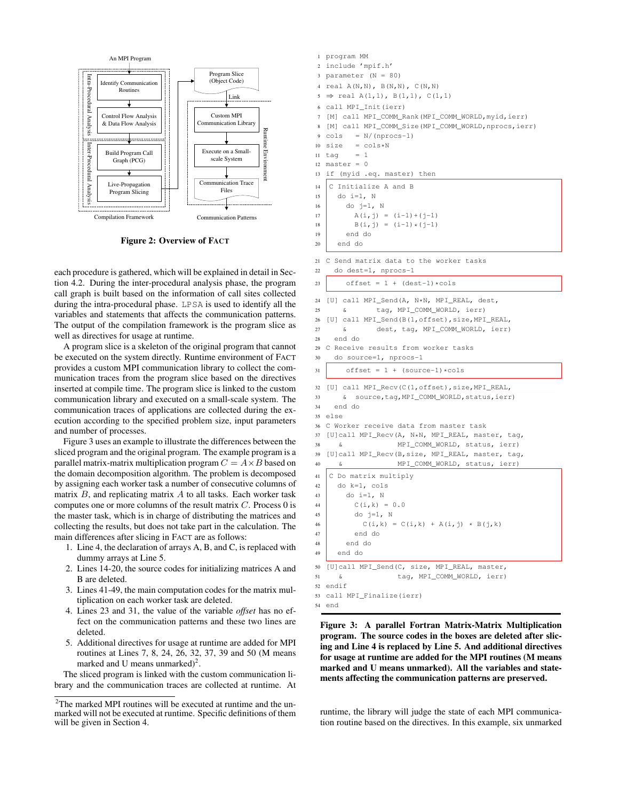

Figure 2: Overview of FACT

each procedure is gathered, which will be explained in detail in Section 4.2. During the inter-procedural analysis phase, the program call graph is built based on the information of call sites collected during the intra-procedural phase. LPSA is used to identify all the variables and statements that affects the communication patterns. The output of the compilation framework is the program slice as well as directives for usage at runtime.

A program slice is a skeleton of the original program that cannot be executed on the system directly. Runtime environment of FACT provides a custom MPI communication library to collect the communication traces from the program slice based on the directives inserted at compile time. The program slice is linked to the custom communication library and executed on a small-scale system. The communication traces of applications are collected during the execution according to the specified problem size, input parameters and number of processes.

Figure 3 uses an example to illustrate the differences between the sliced program and the original program. The example program is a parallel matrix-matrix multiplication program  $C = A \times B$  based on the domain decomposition algorithm. The problem is decomposed by assigning each worker task a number of consecutive columns of matrix *B*, and replicating matrix *A* to all tasks. Each worker task computes one or more columns of the result matrix *C*. Process 0 is the master task, which is in charge of distributing the matrices and collecting the results, but does not take part in the calculation. The main differences after slicing in FACT are as follows:

- 1. Line 4, the declaration of arrays A, B, and C, is replaced with dummy arrays at Line 5.
- 2. Lines 14-20, the source codes for initializing matrices A and B are deleted.
- 3. Lines 41-49, the main computation codes for the matrix multiplication on each worker task are deleted.
- 4. Lines 23 and 31, the value of the variable *offset* has no effect on the communication patterns and these two lines are deleted.
- 5. Additional directives for usage at runtime are added for MPI routines at Lines 7, 8, 24, 26, 32, 37, 39 and 50 (M means marked and U means unmarked)<sup>2</sup>.

The sliced program is linked with the custom communication library and the communication traces are collected at runtime. At

```
1 program MM
2 include 'mpif.h'
3 parameter (N = 80)
4 real A(N,N), B(N,N), C(N,N)
5 \Rightarrow real A(1,1), B(1,1), C(1,1)
6 call MPI_Init(ierr)
7 [M] call MPI_COMM_Rank(MPI_COMM_WORLD,myid,ierr)
8 [M] call MPI_COMM_Size(MPI_COMM_WORLD,nprocs,ierr)
9 \text{ coils} = N/(n \text{process}-1)10 size = \text{cols} * N<br>11 tag = 1
11 tag
12 master = 013 if (myid .eq. master) then
14 C Initialize A and B
15 do i=1, N
16 do j=1, N
17 A(i, j) = (i-1) + (j-1)18 B(i, j) = (i-1) * (j-1)19 end do
20 end do
21 C Send matrix data to the worker tasks
22 do dest=1, nprocs-1
23 offset = 1 + (dest-1)*cols24 [U] call MPI_Send(A, N*N, MPI_REAL, dest,<br>25 \kappa tag. MPI COMM WORLD, jerr)
              tag, MPI_COMM_WORLD, ierr)
26 [U] call MPI_Send(B(1,offset),size,MPI_REAL,
27 & dest, tag, MPI_COMM_WORLD, ierr)
28 end do
29 C Receive results from worker tasks
30 do source=1, nprocs-1
31 offset = 1 + (source-1) *cols
32 [U] call MPI_Recv(C(1,offset),size,MPI_REAL,
33 & source,tag,MPI_COMM_WORLD,status,ierr)
34 end do
35 else
36 C Worker receive data from master task
37 [U]call MPI_Recv(A, N*N, MPI_REAL, master, tag,
38 & MPI_COMM_WORLD, status, ierr)
39 [U]call MPI_Recv(B,size, MPI_REAL, master, tag,
40 & MPI_COMM_WORLD, status, ierr)
41 C Do matrix multiply
42 do k=1, cols
43 do i=1, N
44 C(i,k) = 0.045 do j=1, N
46 C(i,k) = C(i,k) + A(i,j) * B(j,k)
47 end do
48 end do
49 end do
50 [U]call MPI_Send(C, size, MPI_REAL, master,
51 & tag, MPI_COMM_WORLD, ierr)
52 endif
53 call MPI_Finalize(ierr)
```
54 end

Figure 3: A parallel Fortran Matrix-Matrix Multiplication program. The source codes in the boxes are deleted after slicing and Line 4 is replaced by Line 5. And additional directives for usage at runtime are added for the MPI routines (M means marked and U means unmarked). All the variables and statements affecting the communication patterns are preserved.

runtime, the library will judge the state of each MPI communication routine based on the directives. In this example, six unmarked

<sup>&</sup>lt;sup>2</sup>The marked MPI routines will be executed at runtime and the unmarked will not be executed at runtime. Specific definitions of them will be given in Section 4.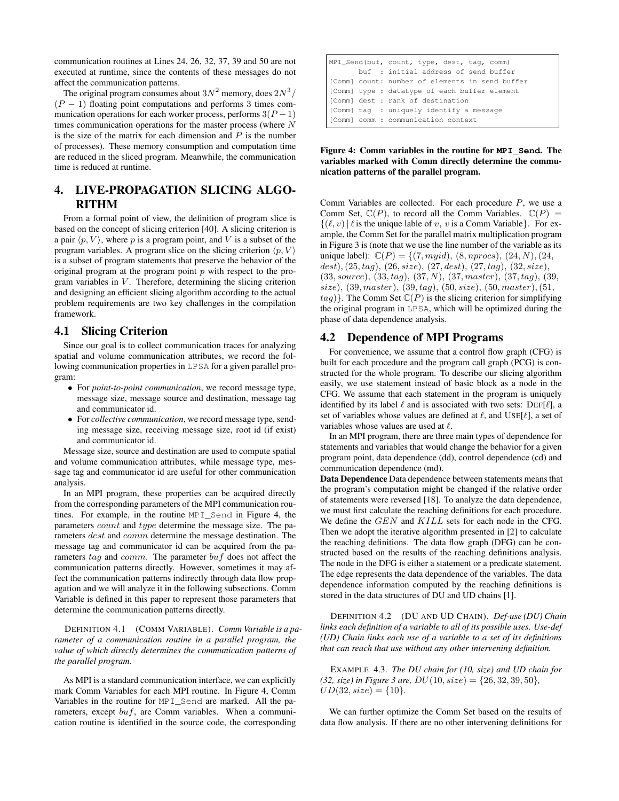communication routines at Lines 24, 26, 32, 37, 39 and 50 are not executed at runtime, since the contents of these messages do not affect the communication patterns.

The original program consumes about  $3N^2$  memory, does  $2N^3/$  $(P - 1)$  floating point computations and performs 3 times communication operations for each worker process, performs  $3(P-1)$ times communication operations for the master process (where *N* is the size of the matrix for each dimension and *P* is the number of processes). These memory consumption and computation time are reduced in the sliced program. Meanwhile, the communication time is reduced at runtime.

# 4. LIVE-PROPAGATION SLICING ALGO-RITHM

From a formal point of view, the definition of program slice is based on the concept of slicing criterion [40]. A slicing criterion is a pair  $\langle p, V \rangle$ , where p is a program point, and V is a subset of the program variables. A program slice on the slicing criterion  $\langle p, V \rangle$ is a subset of program statements that preserve the behavior of the original program at the program point *p* with respect to the program variables in *V*. Therefore, determining the slicing criterion and designing an efficient slicing algorithm according to the actual problem requirements are two key challenges in the compilation framework.

### 4.1 Slicing Criterion

Since our goal is to collect communication traces for analyzing spatial and volume communication attributes, we record the following communication properties in LPSA for a given parallel program:

- *•* For *point-to-point communication*, we record message type, message size, message source and destination, message tag and communicator id.
- *•* For *collective communication*, we record message type, sending message size, receiving message size, root id (if exist) and communicator id.

Message size, source and destination are used to compute spatial and volume communication attributes, while message type, message tag and communicator id are useful for other communication analysis.

In an MPI program, these properties can be acquired directly from the corresponding parameters of the MPI communication routines. For example, in the routine MPI\_Send in Figure 4, the parameters *count* and *type* determine the message size. The parameters *dest* and *comm* determine the message destination. The message tag and communicator id can be acquired from the parameters *tag* and *comm*. The parameter *buf* does not affect the communication patterns directly. However, sometimes it may affect the communication patterns indirectly through data flow propagation and we will analyze it in the following subsections. Comm Variable is defined in this paper to represent those parameters that determine the communication patterns directly.

DEFINITION 4.1 (COMM VARIABLE). *Comm Variable is a parameter of a communication routine in a parallel program, the value of which directly determines the communication patterns of the parallel program.*

As MPI is a standard communication interface, we can explicitly mark Comm Variables for each MPI routine. In Figure 4, Comm Variables in the routine for MPI\_Send are marked. All the parameters, except *buf*, are Comm variables. When a communication routine is identified in the source code, the corresponding

|                                     |  |  | MPI_Send(buf, count, type, dest, tag, comm)     |  |  |  |  |
|-------------------------------------|--|--|-------------------------------------------------|--|--|--|--|
|                                     |  |  | buf : initial address of send buffer            |  |  |  |  |
|                                     |  |  | [Comm] count: number of elements in send buffer |  |  |  |  |
|                                     |  |  | [Comm] type : datatype of each buffer element   |  |  |  |  |
|                                     |  |  | [Comm] dest : rank of destination               |  |  |  |  |
|                                     |  |  | [Comm] tag : uniquely identify a message        |  |  |  |  |
| [Comm] comm : communication context |  |  |                                                 |  |  |  |  |
|                                     |  |  |                                                 |  |  |  |  |

Figure 4: Comm variables in the routine for **MPI\_Send**. The variables marked with Comm directly determine the communication patterns of the parallel program.

Comm Variables are collected. For each procedure *P*, we use a Comm Set,  $\mathbb{C}(P)$ , to record all the Comm Variables.  $\mathbb{C}(P) =$  $\{(\ell, v) | \ell \text{ is the unique label of } v, v \text{ is a Comm Variable}\}.$  For example, the Comm Set for the parallel matrix multiplication program in Figure 3 is (note that we use the line number of the variable as its unique label):  $\mathbb{C}(P) = \{(7, myid), (8, nprocs), (24, N), (24,$ *dest*)*,* (25*, tag*)*,* (26*, size*)*,* (27*, dest*)*,* (27*, tag*)*,* (32*, size*)*,* (33*, source*)*,* (33*, tag*)*,* (37*, N*)*,* (37*, master*)*,* (37*, tag*)*,* (39*, size*)*,* (39*, master*)*,* (39*, tag*)*,* (50*, size*)*,* (50*, master*)*,* (51*,*  $tag$ )}. The Comm Set  $\mathbb{C}(P)$  is the slicing criterion for simplifying the original program in LPSA, which will be optimized during the phase of data dependence analysis.

### 4.2 Dependence of MPI Programs

For convenience, we assume that a control flow graph (CFG) is built for each procedure and the program call graph (PCG) is constructed for the whole program. To describe our slicing algorithm easily, we use statement instead of basic block as a node in the CFG. We assume that each statement in the program is uniquely identified by its label *ℓ* and is associated with two sets: DEF[*ℓ*], a set of variables whose values are defined at *ℓ*, and USE[*ℓ*], a set of variables whose values are used at *ℓ*.

In an MPI program, there are three main types of dependence for statements and variables that would change the behavior for a given program point, data dependence (dd), control dependence (cd) and communication dependence (md).

Data Dependence Data dependence between statements means that the program's computation might be changed if the relative order of statements were reversed [18]. To analyze the data dependence, we must first calculate the reaching definitions for each procedure. We define the *GEN* and *KILL* sets for each node in the CFG. Then we adopt the iterative algorithm presented in [2] to calculate the reaching definitions. The data flow graph (DFG) can be constructed based on the results of the reaching definitions analysis. The node in the DFG is either a statement or a predicate statement. The edge represents the data dependence of the variables. The data dependence information computed by the reaching definitions is stored in the data structures of DU and UD chains [1].

DEFINITION 4.2 (DU AND UD CHAIN). *Def-use (DU) Chain links each definition of a variable to all of its possible uses. Use-def (UD) Chain links each use of a variable to a set of its definitions that can reach that use without any other intervening definition.*

EXAMPLE 4.3. *The DU chain for (10, size) and UD chain for*  $(32, \text{ size})$  in Figure 3 are,  $DU(10, \text{ size}) = \{26, 32, 39, 50\}$ ,  $UD(32, size) = \{10\}.$ 

We can further optimize the Comm Set based on the results of data flow analysis. If there are no other intervening definitions for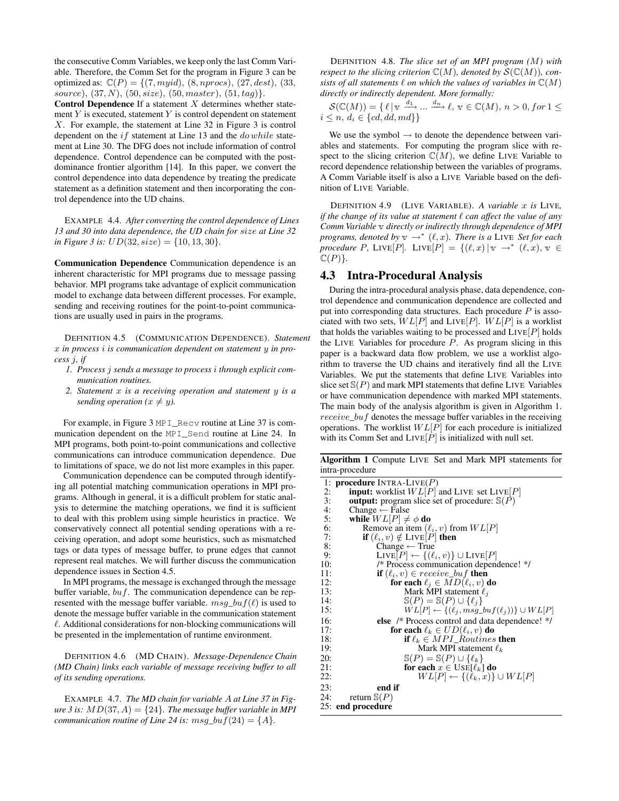the consecutive Comm Variables, we keep only the last Comm Variable. Therefore, the Comm Set for the program in Figure 3 can be optimized as:  $\mathbb{C}(P) = \{(7, myid), (8, nprocs), (27, dest), (33,$ *source*)*,* (37*, N*)*,* (50*, size*)*,* (50*, master*)*,* (51*, tag*)*}*.

Control Dependence If a statement *X* determines whether statement *Y* is executed, statement *Y* is control dependent on statement *X*. For example, the statement at Line 32 in Figure 3 is control dependent on the *if* statement at Line 13 and the *do while* statement at Line 30. The DFG does not include information of control dependence. Control dependence can be computed with the postdominance frontier algorithm [14]. In this paper, we convert the control dependence into data dependence by treating the predicate statement as a definition statement and then incorporating the control dependence into the UD chains.

EXAMPLE 4.4. *After converting the control dependence of Lines 13 and 30 into data dependence, the UD chain for size at Line 32 in Figure 3 is:*  $UD(32, size) = \{10, 13, 30\}.$ 

Communication Dependence Communication dependence is an inherent characteristic for MPI programs due to message passing behavior. MPI programs take advantage of explicit communication model to exchange data between different processes. For example, sending and receiving routines for the point-to-point communications are usually used in pairs in the programs.

DEFINITION 4.5 (COMMUNICATION DEPENDENCE). *Statement x in process i is communication dependent on statement y in process j, if*

- *1. Process j sends a message to process i through explicit communication routines.*
- *2. Statement x is a receiving operation and statement y is a sending operation* ( $x \neq y$ *).*

For example, in Figure 3 MPI\_Recv routine at Line 37 is communication dependent on the MPI\_Send routine at Line 24. In MPI programs, both point-to-point communications and collective communications can introduce communication dependence. Due to limitations of space, we do not list more examples in this paper.

Communication dependence can be computed through identifying all potential matching communication operations in MPI programs. Although in general, it is a difficult problem for static analysis to determine the matching operations, we find it is sufficient to deal with this problem using simple heuristics in practice. We conservatively connect all potential sending operations with a receiving operation, and adopt some heuristics, such as mismatched tags or data types of message buffer, to prune edges that cannot represent real matches. We will further discuss the communication dependence issues in Section 4.5.

In MPI programs, the message is exchanged through the message buffer variable, *buf*. The communication dependence can be represented with the message buffer variable.  $msg\_buf(\ell)$  is used to denote the message buffer variable in the communication statement *ℓ*. Additional considerations for non-blocking communications will be presented in the implementation of runtime environment.

DEFINITION 4.6 (MD CHAIN). *Message-Dependence Chain (MD Chain) links each variable of message receiving buffer to all of its sending operations.*

EXAMPLE 4.7. *The MD chain for variable A at Line 37 in Figure 3 is:*  $MD(37, A) = \{24\}$ *. The message buffer variable in MPI communication routine of Line 24 is:*  $msg\_buf(24) = \{A\}$ .

DEFINITION 4.8. *The slice set of an MPI program (M) with respect to the slicing criterion*  $\mathbb{C}(M)$ *, denoted by*  $\mathcal{S}(\mathbb{C}(M))$ *, consists of all statements*  $\ell$  *on which the values of variables in*  $\mathbb{C}(M)$ *directly or indirectly dependent. More formally:*

 $\mathcal{S}(\mathbb{C}(M)) = \{ \ell \, | \, \mathbb{v} \stackrel{d_1}{\longrightarrow} ... \stackrel{d_n}{\longrightarrow} \ell, \, \mathbb{v} \in \mathbb{C}(M), \, n > 0, for \, 1 \leq$ *i ≤ n, d<sup>i</sup> ∈ {cd, dd, md}}*

We use the symbol  $\rightarrow$  to denote the dependence between variables and statements. For computing the program slice with respect to the slicing criterion  $\mathbb{C}(M)$ , we define LIVE Variable to record dependence relationship between the variables of programs. A Comm Variable itself is also a LIVE Variable based on the definition of LIVE Variable.

DEFINITION 4.9 (LIVE VARIABLE). *A variable x is* LIVE*, if the change of its value at statement ℓ can affect the value of any Comm Variable* v *directly or indirectly through dependence of MPI programs, denoted by* v *→<sup>∗</sup>* (*ℓ, x*)*. There is a* LIVE *Set for each procedure P*, LIVE[*P*]*.* LIVE[*P*] = { $(\ell, x) | \mathbf{v} \to^* (\ell, x), \mathbf{v} \in$  $\mathbb{C}(P)$ *}*.

## 4.3 Intra-Procedural Analysis

During the intra-procedural analysis phase, data dependence, control dependence and communication dependence are collected and put into corresponding data structures. Each procedure *P* is associated with two sets,  $WL[P]$  and  $LIVE[P]$ .  $WL[P]$  is a worklist that holds the variables waiting to be processed and LIVE[*P*] holds the LIVE Variables for procedure *P*. As program slicing in this paper is a backward data flow problem, we use a worklist algorithm to traverse the UD chains and iteratively find all the LIVE Variables. We put the statements that define LIVE Variables into slice set  $\mathbb{S}(P)$  and mark MPI statements that define LIVE Variables or have communication dependence with marked MPI statements. The main body of the analysis algorithm is given in Algorithm 1. *receive*\_*buf* denotes the message buffer variables in the receiving operations. The worklist *W L*[*P*] for each procedure is initialized with its Comm Set and  $LIVE[P]$  is initialized with null set.

Algorithm 1 Compute LIVE Set and Mark MPI statements for intra-procedure

|     | 1: <b>procedure</b> $INTRA-LIVE(P)$                            |
|-----|----------------------------------------------------------------|
| 2:  | <b>input:</b> worklist $WL[P]$ and LIVE set LIVE $[P]$         |
| 3:  | <b>output:</b> program slice set of procedure: $\mathbb{S}(P)$ |
| 4:  | Change $\leftarrow$ False                                      |
| 5:  | while $WL[P] \neq \phi$ do                                     |
| 6:  | Remove an item $(\ell_i, v)$ from $WL[P]$                      |
| 7:  | if $(\ell_i, v) \notin \text{LIVE}[P]$ then                    |
| 8:  | $Change \leftarrow True$                                       |
| 9:  | $LIVE[P] \leftarrow \{(\ell_i, v)\} \cup LIVE[P]$              |
| 10: | /* Process communication dependence! */                        |
| 11: | <b>if</b> $(\ell_i, v) \in receive\_buf$ then                  |
| 12: | for each $\ell_j \in MD(\ell_i, v)$ do                         |
| 13: | Mark MPI statement $\ell_i$                                    |
| 14: | $\mathbb{S}(P) = \mathbb{S}(P) \cup \{\ell_i\}$                |
| 15: | $WL[P] \leftarrow \{(\ell_i, msg\_buf(\ell_i))\} \cup WL[P]$   |
| 16: | else /* Process control and data dependence! */                |
| 17: | for each $\ell_k \in UD(\ell_i, v)$ do                         |
| 18: | <b>if</b> $\ell_k \in MPI\_Routines$ then                      |
| 19: | Mark MPI statement $\ell_k$                                    |
| 20: | $\mathbb{S}(P) = \mathbb{S}(P) \cup \{\ell_k\}$                |
| 21: | for each $x \in \mathrm{Use}[\ell_k]$ do                       |
| 22: | $WL[P] \leftarrow \{(\ell_k, x)\} \cup WL[P]$                  |
| 23: | end if                                                         |
| 24: | return $\mathbb{S}(P)$                                         |
|     | 25: end procedure                                              |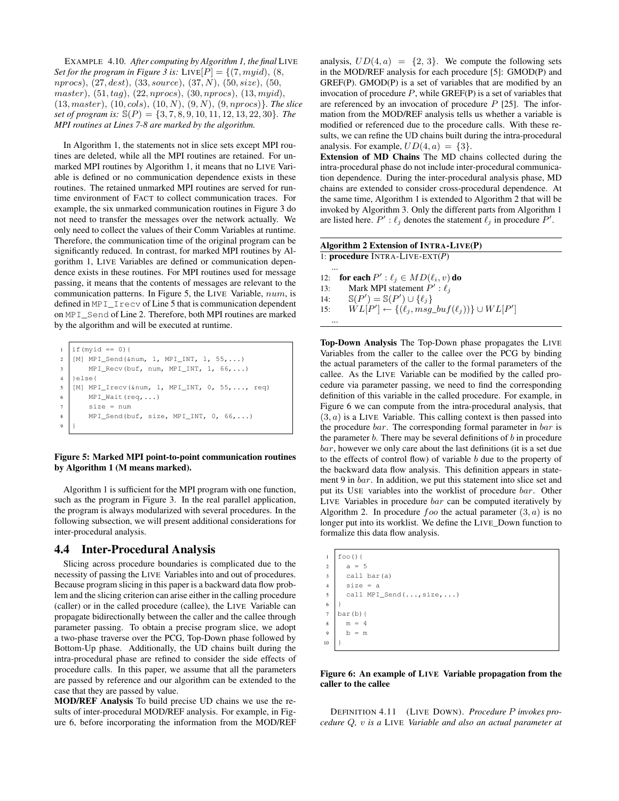EXAMPLE 4.10. *After computing by Algorithm 1, the final* LIVE *Set for the program in Figure 3 is:*  $LIVE[P] = \{(7, myid), (8,$ *nprocs*)*,* (27*, dest*)*,* (33*, source*)*,* (37*, N*)*,* (50*, size*)*,* (50*, master*)*,* (51*, tag*)*,* (22*, nprocs*)*,* (30*, nprocs*)*,* (13*, myid*)*,* (13*, master*)*,* (10*, cols*)*,* (10*, N*)*,* (9*, N*)*,* (9*, nprocs*)*}. The slice set of program is:* S(*P*) = *{*3*,* 7*,* 8*,* 9*,* 10*,* 11*,* 12*,* 13*,* 22*,* 30*}. The MPI routines at Lines 7-8 are marked by the algorithm.*

In Algorithm 1, the statements not in slice sets except MPI routines are deleted, while all the MPI routines are retained. For unmarked MPI routines by Algorithm 1, it means that no LIVE Variable is defined or no communication dependence exists in these routines. The retained unmarked MPI routines are served for runtime environment of FACT to collect communication traces. For example, the six unmarked communication routines in Figure 3 do not need to transfer the messages over the network actually. We only need to collect the values of their Comm Variables at runtime. Therefore, the communication time of the original program can be significantly reduced. In contrast, for marked MPI routines by Algorithm 1, LIVE Variables are defined or communication dependence exists in these routines. For MPI routines used for message passing, it means that the contents of messages are relevant to the communication patterns. In Figure 5, the LIVE Variable, *num*, is defined in MPI\_Irecv of Line 5 that is communication dependent on MPI\_Send of Line 2. Therefore, both MPI routines are marked by the algorithm and will be executed at runtime.

```
1 \text{ if } (myid == 0)2 \mid [M] \text{ MPI\_Send}(\text{Anum}, 1, \text{ MPI\_INT}, 1, 55, \ldots)3 MPI_Recv(buf, num, MPI_INT, 1, 66, ...)
4 | lelse{
5 [M] MPI_Irecv(&num, 1, MPI_INT, 0, 55,..., req)
        6 MPI_Wait(req,...)
7 size = num
        8 MPI_Send(buf, size, MPI_INT, 0, 66,...)
9 }
```
#### Figure 5: Marked MPI point-to-point communication routines by Algorithm 1 (M means marked).

Algorithm 1 is sufficient for the MPI program with one function, such as the program in Figure 3. In the real parallel application, the program is always modularized with several procedures. In the following subsection, we will present additional considerations for inter-procedural analysis.

#### 4.4 Inter-Procedural Analysis

Slicing across procedure boundaries is complicated due to the necessity of passing the LIVE Variables into and out of procedures. Because program slicing in this paper is a backward data flow problem and the slicing criterion can arise either in the calling procedure (caller) or in the called procedure (callee), the LIVE Variable can propagate bidirectionally between the caller and the callee through parameter passing. To obtain a precise program slice, we adopt a two-phase traverse over the PCG, Top-Down phase followed by Bottom-Up phase. Additionally, the UD chains built during the intra-procedural phase are refined to consider the side effects of procedure calls. In this paper, we assume that all the parameters are passed by reference and our algorithm can be extended to the case that they are passed by value.

MOD/REF Analysis To build precise UD chains we use the results of inter-procedural MOD/REF analysis. For example, in Figure 6, before incorporating the information from the MOD/REF analysis,  $UD(4, a) = \{2, 3\}$ . We compute the following sets in the MOD/REF analysis for each procedure [5]: GMOD(P) and GREF(P). GMOD(P) is a set of variables that are modified by an invocation of procedure *P*, while GREF(P) is a set of variables that are referenced by an invocation of procedure *P* [25]. The information from the MOD/REF analysis tells us whether a variable is modified or referenced due to the procedure calls. With these results, we can refine the UD chains built during the intra-procedural analysis. For example,  $UD(4, a) = \{3\}.$ 

Extension of MD Chains The MD chains collected during the intra-procedural phase do not include inter-procedural communication dependence. During the inter-procedural analysis phase, MD chains are extended to consider cross-procedural dependence. At the same time, Algorithm 1 is extended to Algorithm 2 that will be invoked by Algorithm 3. Only the different parts from Algorithm 1 are listed here.  $P'$  :  $\ell_j$  denotes the statement  $\ell_j$  in procedure  $P'$ .

#### Algorithm 2 Extension of INTRA-LIVE(P) 1: procedure INTRA-LIVE-EXT(*P*) ...

- 12: for each  $P'$  :  $\ell_j \in MD(\ell_i, v)$  do
- 13: Mark MPI statement  $P'$  :  $\ell_j$
- 14:  $\mathbb{S}(P') = \mathbb{S}(P') \cup \{\ell_j\}$
- 15:  $WL[P'] \leftarrow \{(\ell_j, msg\_buf(\ell_j))\} \cup WL[P']$ ...

Top-Down Analysis The Top-Down phase propagates the LIVE Variables from the caller to the callee over the PCG by binding the actual parameters of the caller to the formal parameters of the callee. As the LIVE Variable can be modified by the called procedure via parameter passing, we need to find the corresponding definition of this variable in the called procedure. For example, in Figure 6 we can compute from the intra-procedural analysis, that  $(3, a)$  is a LIVE Variable. This calling context is then passed into the procedure *bar*. The corresponding formal parameter in *bar* is the parameter *b*. There may be several definitions of *b* in procedure *bar*, however we only care about the last definitions (it is a set due to the effects of control flow) of variable *b* due to the property of the backward data flow analysis. This definition appears in statement 9 in *bar*. In addition, we put this statement into slice set and put its USE variables into the worklist of procedure *bar*. Other LIVE Variables in procedure *bar* can be computed iteratively by Algorithm 2. In procedure *foo* the actual parameter (3*, a*) is no longer put into its worklist. We define the LIVE\_Down function to formalize this data flow analysis.

| $\mathbf{1}$            | $f \circ \circ$ () {      |
|-------------------------|---------------------------|
|                         |                           |
| $\overline{2}$          | $a = 5$                   |
| $\overline{\mathbf{3}}$ | call bar(a)               |
| $\overline{4}$          | $size = a$                |
| 5                       | call $MPI_Send(, size, )$ |
| 6                       |                           |
| $\overline{7}$          | $bar(b)$ {                |
| 8                       | $m = 4$                   |
| 9                       | $b = m$                   |
| 10                      |                           |

Figure 6: An example of LIVE Variable propagation from the caller to the callee

DEFINITION 4.11 (LIVE DOWN). *Procedure P invokes procedure Q, v is a* LIVE *Variable and also an actual parameter at*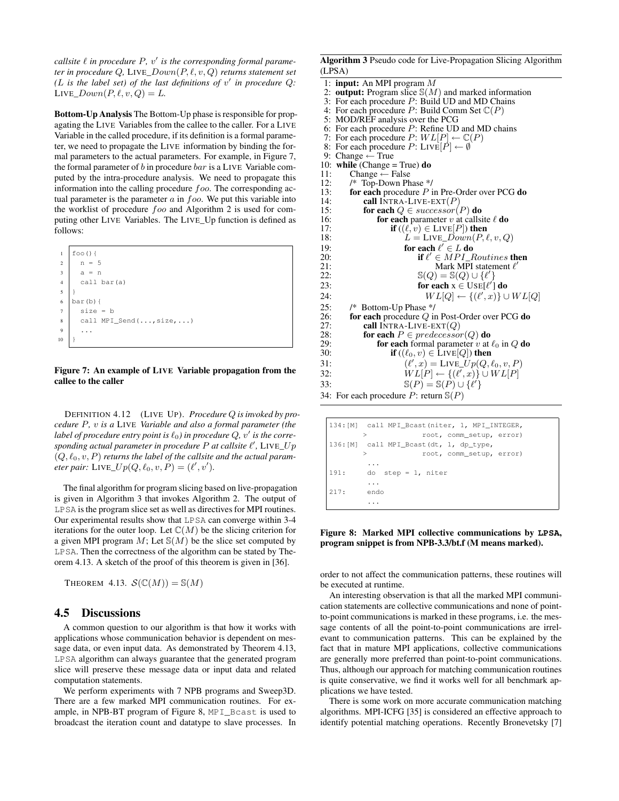*callsite ℓ in procedure P, v ′ is the corresponding formal parameter in procedure Q,* LIVE*\_Down*(*P, ℓ, v, Q*) *returns statement set (L is the label set) of the last definitions of*  $v'$  *in procedure*  $Q$ *:* LIVE  $Down(P, \ell, v, Q) = L$ .

Bottom-Up Analysis The Bottom-Up phase is responsible for propagating the LIVE Variables from the callee to the caller. For a LIVE Variable in the called procedure, if its definition is a formal parameter, we need to propagate the LIVE information by binding the formal parameters to the actual parameters. For example, in Figure 7, the formal parameter of *b* in procedure *bar* is a LIVE Variable computed by the intra-procedure analysis. We need to propagate this information into the calling procedure *foo*. The corresponding actual parameter is the parameter *a* in *foo*. We put this variable into the worklist of procedure *foo* and Algorithm 2 is used for computing other LIVE Variables. The LIVE\_Up function is defined as follows:

```
1 \mid f \circ \circ () {
2 \mid n = 53 \mid a = n4 call bar(a)
5 \mid \}bar(b) {
7 \mid size = b
8 call MPI_Send(...,size,...)
 9 ...
10 }
```
#### Figure 7: An example of LIVE Variable propagation from the callee to the caller

DEFINITION 4.12 (LIVE UP). *Procedure Q is invoked by procedure P, v is a* LIVE *Variable and also a formal parameter (the label of procedure entry point is*  $\ell_0$ *) in procedure*  $Q$ *,*  $v'$  *is the corresponding actual parameter in procedure P at callsite ℓ ′ ,* LIVE*\_U p*  $(Q, \ell_0, v, P)$  *returns the label of the callsite and the actual parameter pair:* LIVE\_ $Up(Q, \ell_0, v, P) = (\ell', v').$ 

The final algorithm for program slicing based on live-propagation is given in Algorithm 3 that invokes Algorithm 2. The output of LPSA is the program slice set as well as directives for MPI routines. Our experimental results show that LPSA can converge within 3-4 iterations for the outer loop. Let  $\mathbb{C}(M)$  be the slicing criterion for a given MPI program  $M$ ; Let  $\mathcal{S}(M)$  be the slice set computed by LPSA. Then the correctness of the algorithm can be stated by Theorem 4.13. A sketch of the proof of this theorem is given in [36].

THEOREM 4.13.  $S(\mathbb{C}(M)) = \mathbb{S}(M)$ 

#### 4.5 Discussions

A common question to our algorithm is that how it works with applications whose communication behavior is dependent on message data, or even input data. As demonstrated by Theorem 4.13, LPSA algorithm can always guarantee that the generated program slice will preserve these message data or input data and related computation statements.

We perform experiments with 7 NPB programs and Sweep3D. There are a few marked MPI communication routines. For example, in NPB-BT program of Figure 8, MPI\_Bcast is used to broadcast the iteration count and datatype to slave processes. In

#### Algorithm 3 Pseudo code for Live-Propagation Slicing Algorithm (LPSA)

```
1: input: An MPI program M
 2: output: Program slice \mathcal{S}(M) and marked information 3: For each procedure P: Build UD and MD Chains
 3: For each procedure P: Build UD and MD Chains 4: For each procedure P: Build Comm Set \mathbb{C}(P)4: For each procedure P: Build Comm Set \mathbb{C}(P)<br>5: MOD/REF analysis over the PCG
     5: MOD/REF analysis over the PCG
  6: For each procedure P: Refine UD and MD chains
  7: For each procedure P: WL[P] \leftarrow \mathbb{C}(P)8: For each procedure P: \text{LIVE}[P] \leftarrow \emptyset9: Change ← True<br>10: while (Change =
10: while (Change = True) do 11: Change \leftarrow False
11: Change ← False<br>12: /* Top-Down Ph
12: \frac{1}{2} /* Top-Down Phase */<br>13: for each procedure P is
13: for each procedure P in Pre-Order over PCG do 14: call INTRA-LIVE-EXT(P)
14: call INTRA-LIVE-EXT(P)<br>15: for each Q \in successor15: for each Q \in successor(P) do<br>16: for each parameter v at calls
16: for each parameter v at callsite \ell do<br>17: if ((\ell, v) \in \text{LIVE}[P]) then
17: if ((\ell, v) \in \text{LIVE}[P]) then<br>18: L = \text{LIVE} Down(P, \ell)L = \text{LIVE} Down(P, \ell, v, Q)19: for each \ell' \in L do
20: if \ell' \in MPI\_Routines then
21: Mark MPI statement \ell'22: \mathbb{S}(Q) = \mathbb{S}(Q) \cup \{\ell'\}23: for each x \in \text{Use}[\ell'] do
24: WL[Q] \leftarrow \{(\ell', x)\} \cup WL[Q]25: /* Bottom-Up Phase */<br>26: for each procedure Q in
26: for each procedure Q in Post-Order over PCG do 27: call INTRA-LIVE-EXT(Q)
27: call INTRA-LIVE-EXT(Q)<br>28: for each P \in \text{predecesso}28: for each P \in \text{predecessor}(Q) do<br>29: for each formal parameter v at
29: for each formal parameter v at \ell_0 in Q do 30: if ((\ell_0, v) \in \text{LIVE}[O]) then
                          \textbf{if } ((\ell_0, v) \in \text{LIVE}[Q]) \textbf{ then}31: (ℓ
                                  \mathcal{L}', x) = LIVE_Up(Q, \ell_0, v, P)32: WL[P] \leftarrow \{(\ell', x)\} \cup WL[P]33: \mathbb{S}(P) = \mathbb{S}(P) \cup \{\ell'\}
```

```
34: For each procedure P: return S(P)
```

|      | 134: [M] call MPI_Bcast (niter, 1, MPI_INTEGER,                                |
|------|--------------------------------------------------------------------------------|
|      | root, comm setup, error)<br>$\,>\,$<br>136: [M] call MPI_Bcast(dt, 1, dp_type, |
|      | root, comm_setup, error)<br>$\rm{~}$                                           |
| 191: | do step = $1$ , niter                                                          |
| 217: | endo                                                                           |
|      |                                                                                |

Figure 8: Marked MPI collective communications by **LPSA**, program snippet is from NPB-3.3/bt.f (M means marked).

order to not affect the communication patterns, these routines will be executed at runtime.

An interesting observation is that all the marked MPI communication statements are collective communications and none of pointto-point communications is marked in these programs, i.e. the message contents of all the point-to-point communications are irrelevant to communication patterns. This can be explained by the fact that in mature MPI applications, collective communications are generally more preferred than point-to-point communications. Thus, although our approach for matching communication routines is quite conservative, we find it works well for all benchmark applications we have tested.

There is some work on more accurate communication matching algorithms. MPI-ICFG [35] is considered an effective approach to identify potential matching operations. Recently Bronevetsky [7]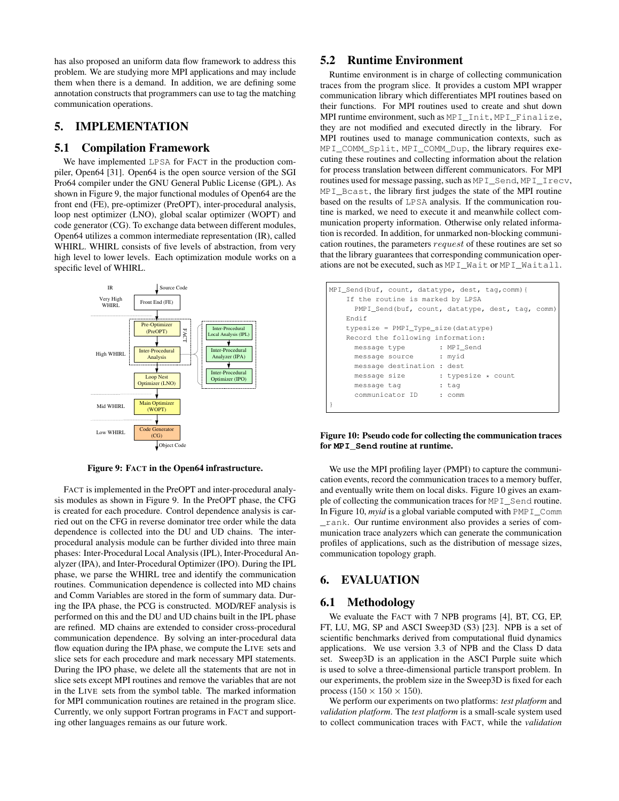has also proposed an uniform data flow framework to address this problem. We are studying more MPI applications and may include them when there is a demand. In addition, we are defining some annotation constructs that programmers can use to tag the matching communication operations.

## 5. IMPLEMENTATION

#### 5.1 Compilation Framework

We have implemented LPSA for FACT in the production compiler, Open64 [31]. Open64 is the open source version of the SGI Pro64 compiler under the GNU General Public License (GPL). As shown in Figure 9, the major functional modules of Open64 are the front end (FE), pre-optimizer (PreOPT), inter-procedural analysis, loop nest optimizer (LNO), global scalar optimizer (WOPT) and code generator (CG). To exchange data between different modules, Open64 utilizes a common intermediate representation (IR), called WHIRL. WHIRL consists of five levels of abstraction, from very high level to lower levels. Each optimization module works on a specific level of WHIRL.



Figure 9: FACT in the Open64 infrastructure.

FACT is implemented in the PreOPT and inter-procedural analysis modules as shown in Figure 9. In the PreOPT phase, the CFG is created for each procedure. Control dependence analysis is carried out on the CFG in reverse dominator tree order while the data dependence is collected into the DU and UD chains. The interprocedural analysis module can be further divided into three main phases: Inter-Procedural Local Analysis (IPL), Inter-Procedural Analyzer (IPA), and Inter-Procedural Optimizer (IPO). During the IPL phase, we parse the WHIRL tree and identify the communication routines. Communication dependence is collected into MD chains and Comm Variables are stored in the form of summary data. During the IPA phase, the PCG is constructed. MOD/REF analysis is performed on this and the DU and UD chains built in the IPL phase are refined. MD chains are extended to consider cross-procedural communication dependence. By solving an inter-procedural data flow equation during the IPA phase, we compute the LIVE sets and slice sets for each procedure and mark necessary MPI statements. During the IPO phase, we delete all the statements that are not in slice sets except MPI routines and remove the variables that are not in the LIVE sets from the symbol table. The marked information for MPI communication routines are retained in the program slice. Currently, we only support Fortran programs in FACT and supporting other languages remains as our future work.

## 5.2 Runtime Environment

Runtime environment is in charge of collecting communication traces from the program slice. It provides a custom MPI wrapper communication library which differentiates MPI routines based on their functions. For MPI routines used to create and shut down MPI runtime environment, such as MPI\_Init, MPI\_Finalize, they are not modified and executed directly in the library. For MPI routines used to manage communication contexts, such as MPI\_COMM\_Split, MPI\_COMM\_Dup, the library requires executing these routines and collecting information about the relation for process translation between different communicators. For MPI routines used for message passing, such as MPI\_Send, MPI\_Irecv, MPI\_Bcast, the library first judges the state of the MPI routine based on the results of LPSA analysis. If the communication routine is marked, we need to execute it and meanwhile collect communication property information. Otherwise only related information is recorded. In addition, for unmarked non-blocking communication routines, the parameters *request* of these routines are set so that the library guarantees that corresponding communication operations are not be executed, such as MPI\_Wait or MPI\_Waitall.

| MPI_Send(buf, count, datatype, dest, tag, comm) { |                                                  |  |  |  |  |  |  |  |  |
|---------------------------------------------------|--------------------------------------------------|--|--|--|--|--|--|--|--|
| If the routine is marked by LPSA                  |                                                  |  |  |  |  |  |  |  |  |
|                                                   | PMPI_Send(buf, count, datatype, dest, tag, comm) |  |  |  |  |  |  |  |  |
| Endif                                             |                                                  |  |  |  |  |  |  |  |  |
|                                                   | typesize = PMPI_Type_size(datatype)              |  |  |  |  |  |  |  |  |
|                                                   | Record the following information:                |  |  |  |  |  |  |  |  |
| message type : MPI_Send                           |                                                  |  |  |  |  |  |  |  |  |
| message source : myid                             |                                                  |  |  |  |  |  |  |  |  |
| message destination : dest                        |                                                  |  |  |  |  |  |  |  |  |
| message size                                      | : typesize $\star$ count                         |  |  |  |  |  |  |  |  |
| message tag                                       | : tag                                            |  |  |  |  |  |  |  |  |
| communicator ID : comm                            |                                                  |  |  |  |  |  |  |  |  |
|                                                   |                                                  |  |  |  |  |  |  |  |  |

#### Figure 10: Pseudo code for collecting the communication traces for **MPI\_Send** routine at runtime.

We use the MPI profiling layer (PMPI) to capture the communication events, record the communication traces to a memory buffer, and eventually write them on local disks. Figure 10 gives an example of collecting the communication traces for MPI\_Send routine. In Figure 10, *myid* is a global variable computed with PMPI\_Comm \_rank. Our runtime environment also provides a series of communication trace analyzers which can generate the communication profiles of applications, such as the distribution of message sizes, communication topology graph.

# 6. EVALUATION

#### 6.1 Methodology

We evaluate the FACT with 7 NPB programs [4], BT, CG, EP, FT, LU, MG, SP and ASCI Sweep3D (S3) [23]. NPB is a set of scientific benchmarks derived from computational fluid dynamics applications. We use version 3.3 of NPB and the Class D data set. Sweep3D is an application in the ASCI Purple suite which is used to solve a three-dimensional particle transport problem. In our experiments, the problem size in the Sweep3D is fixed for each process  $(150 \times 150 \times 150)$ .

We perform our experiments on two platforms: *test platform* and *validation platform*. The *test platform* is a small-scale system used to collect communication traces with FACT, while the *validation*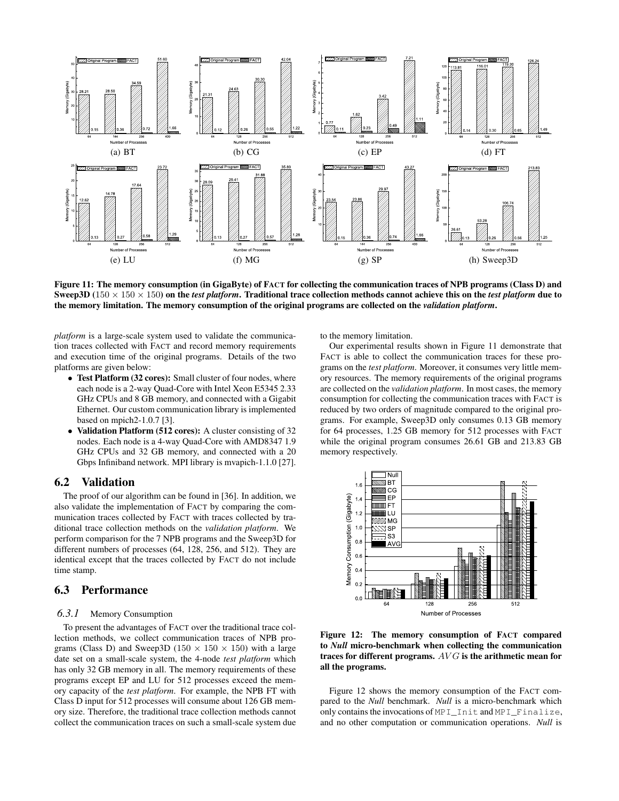

Figure 11: The memory consumption (in GigaByte) of FACT for collecting the communication traces of NPB programs (Class D) and Sweep3D (150 *×* 150 *×* 150) on the *test platform*. Traditional trace collection methods cannot achieve this on the *test platform* due to the memory limitation. The memory consumption of the original programs are collected on the *validation platform*.

*platform* is a large-scale system used to validate the communication traces collected with FACT and record memory requirements and execution time of the original programs. Details of the two platforms are given below:

- *•* Test Platform (32 cores): Small cluster of four nodes, where each node is a 2-way Quad-Core with Intel Xeon E5345 2.33 GHz CPUs and 8 GB memory, and connected with a Gigabit Ethernet. Our custom communication library is implemented based on mpich2-1.0.7 [3].
- Validation Platform (512 cores): A cluster consisting of 32 nodes. Each node is a 4-way Quad-Core with AMD8347 1.9 GHz CPUs and 32 GB memory, and connected with a 20 Gbps Infiniband network. MPI library is mvapich-1.1.0 [27].

#### 6.2 Validation

The proof of our algorithm can be found in [36]. In addition, we also validate the implementation of FACT by comparing the communication traces collected by FACT with traces collected by traditional trace collection methods on the *validation platform*. We perform comparison for the 7 NPB programs and the Sweep3D for different numbers of processes (64, 128, 256, and 512). They are identical except that the traces collected by FACT do not include time stamp.

## 6.3 Performance

#### *6.3.1* Memory Consumption

To present the advantages of FACT over the traditional trace collection methods, we collect communication traces of NPB programs (Class D) and Sweep3D ( $150 \times 150 \times 150$ ) with a large date set on a small-scale system, the 4-node *test platform* which has only 32 GB memory in all. The memory requirements of these programs except EP and LU for 512 processes exceed the memory capacity of the *test platform*. For example, the NPB FT with Class D input for 512 processes will consume about 126 GB memory size. Therefore, the traditional trace collection methods cannot collect the communication traces on such a small-scale system due to the memory limitation.

Our experimental results shown in Figure 11 demonstrate that FACT is able to collect the communication traces for these programs on the *test platform*. Moreover, it consumes very little memory resources. The memory requirements of the original programs are collected on the *validation platform*. In most cases, the memory consumption for collecting the communication traces with FACT is reduced by two orders of magnitude compared to the original programs. For example, Sweep3D only consumes 0.13 GB memory for 64 processes, 1.25 GB memory for 512 processes with FACT while the original program consumes 26.61 GB and 213.83 GB memory respectively.



Figure 12: The memory consumption of FACT compared to *Null* micro-benchmark when collecting the communication traces for different programs. *AV G* is the arithmetic mean for all the programs.

Figure 12 shows the memory consumption of the FACT compared to the *Null* benchmark. *Null* is a micro-benchmark which only contains the invocations of MPI\_Init and MPI\_Finalize, and no other computation or communication operations. *Null* is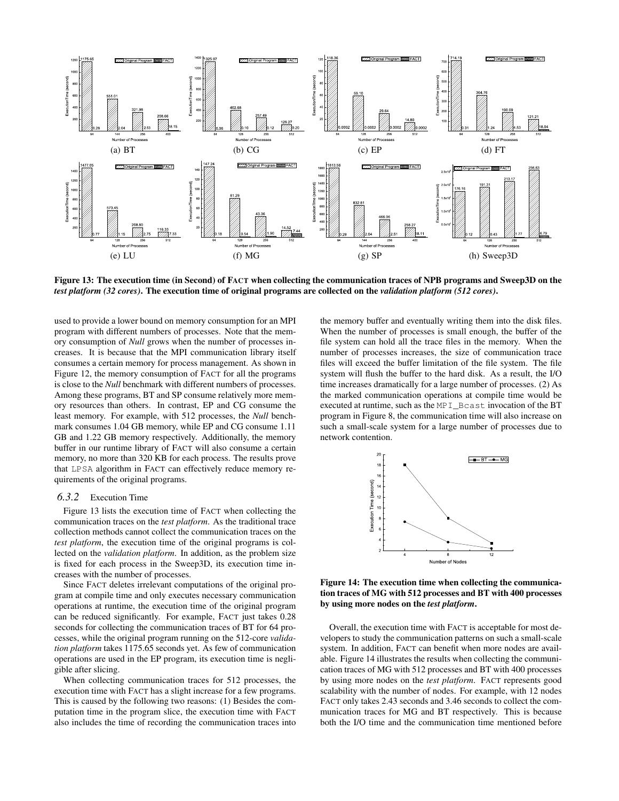

Figure 13: The execution time (in Second) of FACT when collecting the communication traces of NPB programs and Sweep3D on the *test platform (32 cores)*. The execution time of original programs are collected on the *validation platform (512 cores)*.

used to provide a lower bound on memory consumption for an MPI program with different numbers of processes. Note that the memory consumption of *Null* grows when the number of processes increases. It is because that the MPI communication library itself consumes a certain memory for process management. As shown in Figure 12, the memory consumption of FACT for all the programs is close to the *Null* benchmark with different numbers of processes. Among these programs, BT and SP consume relatively more memory resources than others. In contrast, EP and CG consume the least memory. For example, with 512 processes, the *Null* benchmark consumes 1.04 GB memory, while EP and CG consume 1.11 GB and 1.22 GB memory respectively. Additionally, the memory buffer in our runtime library of FACT will also consume a certain memory, no more than 320 KB for each process. The results prove that LPSA algorithm in FACT can effectively reduce memory requirements of the original programs.

#### *6.3.2* Execution Time

Figure 13 lists the execution time of FACT when collecting the communication traces on the *test platform*. As the traditional trace collection methods cannot collect the communication traces on the *test platform*, the execution time of the original programs is collected on the *validation platform*. In addition, as the problem size is fixed for each process in the Sweep3D, its execution time increases with the number of processes.

Since FACT deletes irrelevant computations of the original program at compile time and only executes necessary communication operations at runtime, the execution time of the original program can be reduced significantly. For example, FACT just takes 0.28 seconds for collecting the communication traces of BT for 64 processes, while the original program running on the 512-core *validation platform* takes 1175.65 seconds yet. As few of communication operations are used in the EP program, its execution time is negligible after slicing.

When collecting communication traces for 512 processes, the execution time with FACT has a slight increase for a few programs. This is caused by the following two reasons: (1) Besides the computation time in the program slice, the execution time with FACT also includes the time of recording the communication traces into

the memory buffer and eventually writing them into the disk files. When the number of processes is small enough, the buffer of the file system can hold all the trace files in the memory. When the number of processes increases, the size of communication trace files will exceed the buffer limitation of the file system. The file system will flush the buffer to the hard disk. As a result, the I/O time increases dramatically for a large number of processes. (2) As the marked communication operations at compile time would be executed at runtime, such as the MPI\_Bcast invocation of the BT program in Figure 8, the communication time will also increase on such a small-scale system for a large number of processes due to network contention.



Figure 14: The execution time when collecting the communication traces of MG with 512 processes and BT with 400 processes by using more nodes on the *test platform*.

Overall, the execution time with FACT is acceptable for most developers to study the communication patterns on such a small-scale system. In addition, FACT can benefit when more nodes are available. Figure 14 illustrates the results when collecting the communication traces of MG with 512 processes and BT with 400 processes by using more nodes on the *test platform*. FACT represents good scalability with the number of nodes. For example, with 12 nodes FACT only takes 2.43 seconds and 3.46 seconds to collect the communication traces for MG and BT respectively. This is because both the I/O time and the communication time mentioned before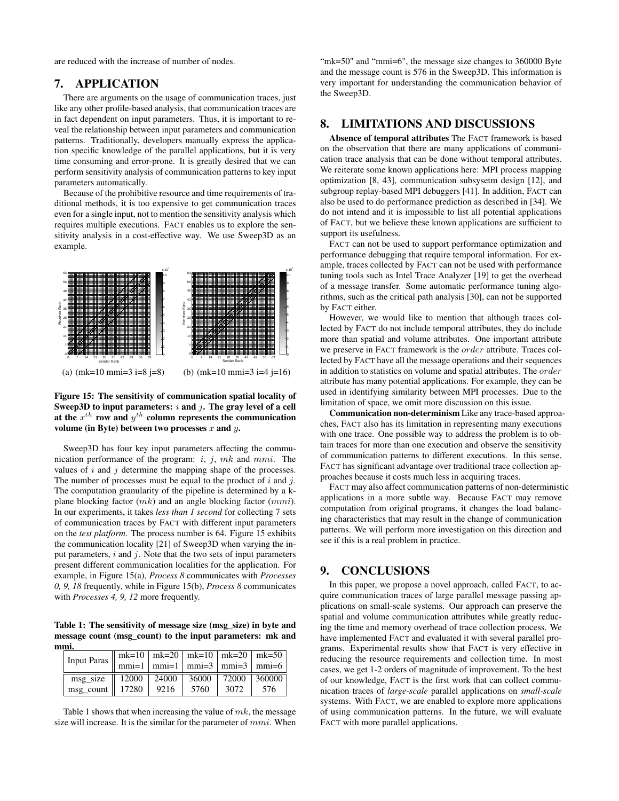are reduced with the increase of number of nodes.

# 7. APPLICATION

There are arguments on the usage of communication traces, just like any other profile-based analysis, that communication traces are in fact dependent on input parameters. Thus, it is important to reveal the relationship between input parameters and communication patterns. Traditionally, developers manually express the application specific knowledge of the parallel applications, but it is very time consuming and error-prone. It is greatly desired that we can perform sensitivity analysis of communication patterns to key input parameters automatically.

Because of the prohibitive resource and time requirements of traditional methods, it is too expensive to get communication traces even for a single input, not to mention the sensitivity analysis which requires multiple executions. FACT enables us to explore the sensitivity analysis in a cost-effective way. We use Sweep3D as an example.



Figure 15: The sensitivity of communication spatial locality of Sweep3D to input parameters: *i* and *j*. The gray level of a cell at the  $x^{th}$  row and  $y^{th}$  column represents the communication volume (in Byte) between two processes *x* and *y*.

Sweep3D has four key input parameters affecting the communication performance of the program: *i*, *j*, *mk* and *mmi*. The values of *i* and *j* determine the mapping shape of the processes. The number of processes must be equal to the product of *i* and *j*. The computation granularity of the pipeline is determined by a kplane blocking factor (*mk*) and an angle blocking factor (*mmi*). In our experiments, it takes *less than 1 second* for collecting 7 sets of communication traces by FACT with different input parameters on the *test platform*. The process number is 64. Figure 15 exhibits the communication locality [21] of Sweep3D when varying the input parameters, *i* and *j*. Note that the two sets of input parameters present different communication localities for the application. For example, in Figure 15(a), *Process 8* communicates with *Processes 0, 9, 18* frequently, while in Figure 15(b), *Process 8* communicates with *Processes 4, 9, 12* more frequently.

Table 1: The sensitivity of message size (msg\_size) in byte and message count (msg\_count) to the input parameters: mk and mmi.

| <b>Input Paras</b>                                 | $\parallel$ mk=10 $\parallel$ mk=20 $\parallel$ mk=10 $\parallel$ mk=20 $\parallel$ mk=50 |      |      |                                                 |     |
|----------------------------------------------------|-------------------------------------------------------------------------------------------|------|------|-------------------------------------------------|-----|
|                                                    |                                                                                           |      |      | $mmi=1$   $mmi=1$   $mmi=3$   $mmi=3$   $mmi=6$ |     |
| msg_size    12000   24000   36000   72000   360000 |                                                                                           |      |      |                                                 |     |
| $\text{msg\_count} \parallel 17280$                |                                                                                           | 9216 | 5760 | 3072                                            | 576 |

Table 1 shows that when increasing the value of *mk*, the message size will increase. It is the similar for the parameter of *mmi*. When

"mk=50" and "mmi=6", the message size changes to 360000 Byte and the message count is 576 in the Sweep3D. This information is very important for understanding the communication behavior of the Sweep3D.

# 8. LIMITATIONS AND DISCUSSIONS

Absence of temporal attributes The FACT framework is based on the observation that there are many applications of communication trace analysis that can be done without temporal attributes. We reiterate some known applications here: MPI process mapping optimization [8, 43], communication subsysetm design [12], and subgroup replay-based MPI debuggers [41]. In addition, FACT can also be used to do performance prediction as described in [34]. We do not intend and it is impossible to list all potential applications of FACT, but we believe these known applications are sufficient to support its usefulness.

FACT can not be used to support performance optimization and performance debugging that require temporal information. For example, traces collected by FACT can not be used with performance tuning tools such as Intel Trace Analyzer [19] to get the overhead of a message transfer. Some automatic performance tuning algorithms, such as the critical path analysis [30], can not be supported by FACT either.

However, we would like to mention that although traces collected by FACT do not include temporal attributes, they do include more than spatial and volume attributes. One important attribute we preserve in FACT framework is the *order* attribute. Traces collected by FACT have all the message operations and their sequences in addition to statistics on volume and spatial attributes. The *order* attribute has many potential applications. For example, they can be used in identifying similarity between MPI processes. Due to the limitation of space, we omit more discussion on this issue.

Communication non-determinism Like any trace-based approaches, FACT also has its limitation in representing many executions with one trace. One possible way to address the problem is to obtain traces for more than one execution and observe the sensitivity of communication patterns to different executions. In this sense, FACT has significant advantage over traditional trace collection approaches because it costs much less in acquiring traces.

FACT may also affect communication patterns of non-deterministic applications in a more subtle way. Because FACT may remove computation from original programs, it changes the load balancing characteristics that may result in the change of communication patterns. We will perform more investigation on this direction and see if this is a real problem in practice.

## 9. CONCLUSIONS

In this paper, we propose a novel approach, called FACT, to acquire communication traces of large parallel message passing applications on small-scale systems. Our approach can preserve the spatial and volume communication attributes while greatly reducing the time and memory overhead of trace collection process. We have implemented FACT and evaluated it with several parallel programs. Experimental results show that FACT is very effective in reducing the resource requirements and collection time. In most cases, we get 1-2 orders of magnitude of improvement. To the best of our knowledge, FACT is the first work that can collect communication traces of *large-scale* parallel applications on *small-scale* systems. With FACT, we are enabled to explore more applications of using communication patterns. In the future, we will evaluate FACT with more parallel applications.